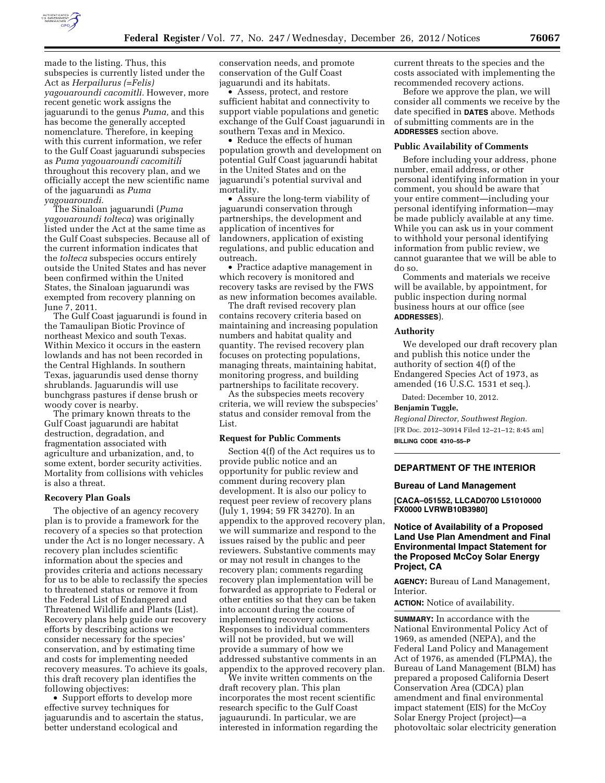

made to the listing. Thus, this subspecies is currently listed under the Act as *Herpailurus (=Felis) yagouaroundi cacomitli.* However, more recent genetic work assigns the jaguarundi to the genus *Puma,* and this has become the generally accepted nomenclature. Therefore, in keeping with this current information, we refer to the Gulf Coast jaguarundi subspecies as *Puma yagouaroundi cacomitili*  throughout this recovery plan, and we officially accept the new scientific name of the jaguarundi as *Puma yagouaroundi.* 

The Sinaloan jaguarundi (*Puma yagouaroundi tolteca*) was originally listed under the Act at the same time as the Gulf Coast subspecies. Because all of the current information indicates that the *tolteca* subspecies occurs entirely outside the United States and has never been confirmed within the United States, the Sinaloan jaguarundi was exempted from recovery planning on June 7, 2011.

The Gulf Coast jaguarundi is found in the Tamaulipan Biotic Province of northeast Mexico and south Texas. Within Mexico it occurs in the eastern lowlands and has not been recorded in the Central Highlands. In southern Texas, jaguarundis used dense thorny shrublands. Jaguarundis will use bunchgrass pastures if dense brush or woody cover is nearby.

The primary known threats to the Gulf Coast jaguarundi are habitat destruction, degradation, and fragmentation associated with agriculture and urbanization, and, to some extent, border security activities. Mortality from collisions with vehicles is also a threat.

#### **Recovery Plan Goals**

The objective of an agency recovery plan is to provide a framework for the recovery of a species so that protection under the Act is no longer necessary. A recovery plan includes scientific information about the species and provides criteria and actions necessary for us to be able to reclassify the species to threatened status or remove it from the Federal List of Endangered and Threatened Wildlife and Plants (List). Recovery plans help guide our recovery efforts by describing actions we consider necessary for the species' conservation, and by estimating time and costs for implementing needed recovery measures. To achieve its goals, this draft recovery plan identifies the following objectives:

• Support efforts to develop more effective survey techniques for jaguarundis and to ascertain the status, better understand ecological and

conservation needs, and promote conservation of the Gulf Coast jaguarundi and its habitats.

• Assess, protect, and restore sufficient habitat and connectivity to support viable populations and genetic exchange of the Gulf Coast jaguarundi in southern Texas and in Mexico.

• Reduce the effects of human population growth and development on potential Gulf Coast jaguarundi habitat in the United States and on the jaguarundi's potential survival and mortality.

• Assure the long-term viability of jaguarundi conservation through partnerships, the development and application of incentives for landowners, application of existing regulations, and public education and outreach.

• Practice adaptive management in which recovery is monitored and recovery tasks are revised by the FWS as new information becomes available.

The draft revised recovery plan contains recovery criteria based on maintaining and increasing population numbers and habitat quality and quantity. The revised recovery plan focuses on protecting populations, managing threats, maintaining habitat, monitoring progress, and building partnerships to facilitate recovery.

As the subspecies meets recovery criteria, we will review the subspecies' status and consider removal from the List.

#### **Request for Public Comments**

Section 4(f) of the Act requires us to provide public notice and an opportunity for public review and comment during recovery plan development. It is also our policy to request peer review of recovery plans (July 1, 1994; 59 FR 34270). In an appendix to the approved recovery plan, we will summarize and respond to the issues raised by the public and peer reviewers. Substantive comments may or may not result in changes to the recovery plan; comments regarding recovery plan implementation will be forwarded as appropriate to Federal or other entities so that they can be taken into account during the course of implementing recovery actions. Responses to individual commenters will not be provided, but we will provide a summary of how we addressed substantive comments in an appendix to the approved recovery plan.

We invite written comments on the draft recovery plan. This plan incorporates the most recent scientific research specific to the Gulf Coast jaguaurundi. In particular, we are interested in information regarding the current threats to the species and the costs associated with implementing the recommended recovery actions.

Before we approve the plan, we will consider all comments we receive by the date specified in **DATES** above. Methods of submitting comments are in the **ADDRESSES** section above.

#### **Public Availability of Comments**

Before including your address, phone number, email address, or other personal identifying information in your comment, you should be aware that your entire comment—including your personal identifying information—may be made publicly available at any time. While you can ask us in your comment to withhold your personal identifying information from public review, we cannot guarantee that we will be able to do so.

Comments and materials we receive will be available, by appointment, for public inspection during normal business hours at our office (see **ADDRESSES**).

#### **Authority**

We developed our draft recovery plan and publish this notice under the authority of section 4(f) of the Endangered Species Act of 1973, as amended (16 U.S.C. 1531 et seq.).

Dated: December 10, 2012.

#### **Benjamin Tuggle,**

*Regional Director, Southwest Region.*  [FR Doc. 2012–30914 Filed 12–21–12; 8:45 am] **BILLING CODE 4310–55–P** 

# **DEPARTMENT OF THE INTERIOR**

#### **Bureau of Land Management**

**[CACA–051552, LLCAD0700 L51010000 FX0000 LVRWB10B3980]** 

**Notice of Availability of a Proposed Land Use Plan Amendment and Final Environmental Impact Statement for the Proposed McCoy Solar Energy Project, CA** 

**AGENCY:** Bureau of Land Management, Interior.

**ACTION:** Notice of availability.

**SUMMARY:** In accordance with the National Environmental Policy Act of 1969, as amended (NEPA), and the Federal Land Policy and Management Act of 1976, as amended (FLPMA), the Bureau of Land Management (BLM) has prepared a proposed California Desert Conservation Area (CDCA) plan amendment and final environmental impact statement (EIS) for the McCoy Solar Energy Project (project)—a photovoltaic solar electricity generation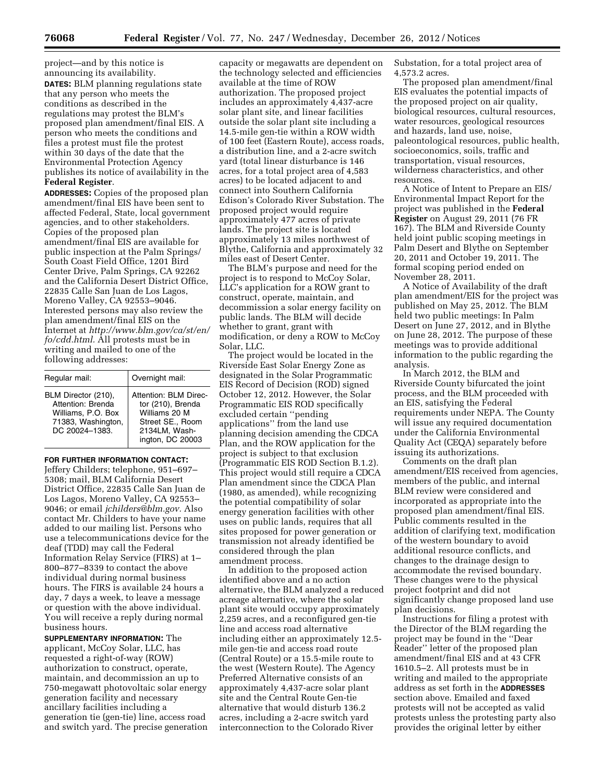project—and by this notice is announcing its availability. **DATES:** BLM planning regulations state that any person who meets the conditions as described in the regulations may protest the BLM's proposed plan amendment/final EIS. A person who meets the conditions and files a protest must file the protest within 30 days of the date that the Environmental Protection Agency publishes its notice of availability in the **Federal Register**.

**ADDRESSES:** Copies of the proposed plan amendment/final EIS have been sent to affected Federal, State, local government agencies, and to other stakeholders. Copies of the proposed plan amendment/final EIS are available for public inspection at the Palm Springs/ South Coast Field Office, 1201 Bird Center Drive, Palm Springs, CA 92262 and the California Desert District Office, 22835 Calle San Juan de Los Lagos, Moreno Valley, CA 92553–9046. Interested persons may also review the plan amendment/final EIS on the Internet at *[http://www.blm.gov/ca/st/en/](http://www.blm.gov/ca/st/en/fo/cdd.html) [fo/cdd.html.](http://www.blm.gov/ca/st/en/fo/cdd.html)* All protests must be in writing and mailed to one of the following addresses:

| Regular mail:                                                                                          | Overnight mail:                                                                                                      |
|--------------------------------------------------------------------------------------------------------|----------------------------------------------------------------------------------------------------------------------|
| BLM Director (210),<br>Attention: Brenda<br>Williams, P.O. Box<br>71383, Washington,<br>DC 20024-1383. | Attention: BLM Direc-<br>tor (210), Brenda<br>Williams 20 M<br>Street SE., Room<br>2134LM, Wash-<br>ington, DC 20003 |

**FOR FURTHER INFORMATION CONTACT:** 

Jeffery Childers; telephone, 951–697– 5308; mail, BLM California Desert District Office, 22835 Calle San Juan de Los Lagos, Moreno Valley, CA 92553– 9046; or email *[jchilders@blm.gov.](mailto:jchilders@blm.gov)* Also contact Mr. Childers to have your name added to our mailing list. Persons who use a telecommunications device for the deaf (TDD) may call the Federal Information Relay Service (FIRS) at 1– 800–877–8339 to contact the above individual during normal business hours. The FIRS is available 24 hours a day, 7 days a week, to leave a message or question with the above individual. You will receive a reply during normal business hours.

**SUPPLEMENTARY INFORMATION:** The applicant, McCoy Solar, LLC, has requested a right-of-way (ROW) authorization to construct, operate, maintain, and decommission an up to 750-megawatt photovoltaic solar energy generation facility and necessary ancillary facilities including a generation tie (gen-tie) line, access road and switch yard. The precise generation

capacity or megawatts are dependent on the technology selected and efficiencies available at the time of ROW authorization. The proposed project includes an approximately 4,437-acre solar plant site, and linear facilities outside the solar plant site including a 14.5-mile gen-tie within a ROW width of 100 feet (Eastern Route), access roads, a distribution line, and a 2-acre switch yard (total linear disturbance is 146 acres, for a total project area of 4,583 acres) to be located adjacent to and connect into Southern California Edison's Colorado River Substation. The proposed project would require approximately 477 acres of private lands. The project site is located approximately 13 miles northwest of Blythe, California and approximately 32 miles east of Desert Center.

The BLM's purpose and need for the project is to respond to McCoy Solar, LLC's application for a ROW grant to construct, operate, maintain, and decommission a solar energy facility on public lands. The BLM will decide whether to grant, grant with modification, or deny a ROW to McCoy Solar, LLC.

The project would be located in the Riverside East Solar Energy Zone as designated in the Solar Programmatic EIS Record of Decision (ROD) signed October 12, 2012. However, the Solar Programmatic EIS ROD specifically excluded certain ''pending applications'' from the land use planning decision amending the CDCA Plan, and the ROW application for the project is subject to that exclusion (Programmatic EIS ROD Section B.1.2). This project would still require a CDCA Plan amendment since the CDCA Plan (1980, as amended), while recognizing the potential compatibility of solar energy generation facilities with other uses on public lands, requires that all sites proposed for power generation or transmission not already identified be considered through the plan amendment process.

In addition to the proposed action identified above and a no action alternative, the BLM analyzed a reduced acreage alternative, where the solar plant site would occupy approximately 2,259 acres, and a reconfigured gen-tie line and access road alternative including either an approximately 12.5 mile gen-tie and access road route (Central Route) or a 15.5-mile route to the west (Western Route). The Agency Preferred Alternative consists of an approximately 4,437-acre solar plant site and the Central Route Gen-tie alternative that would disturb 136.2 acres, including a 2-acre switch yard interconnection to the Colorado River

Substation, for a total project area of 4,573.2 acres.

The proposed plan amendment/final EIS evaluates the potential impacts of the proposed project on air quality, biological resources, cultural resources, water resources, geological resources and hazards, land use, noise, paleontological resources, public health, socioeconomics, soils, traffic and transportation, visual resources, wilderness characteristics, and other resources.

A Notice of Intent to Prepare an EIS/ Environmental Impact Report for the project was published in the **Federal Register** on August 29, 2011 (76 FR 167). The BLM and Riverside County held joint public scoping meetings in Palm Desert and Blythe on September 20, 2011 and October 19, 2011. The formal scoping period ended on November 28, 2011.

A Notice of Availability of the draft plan amendment/EIS for the project was published on May 25, 2012. The BLM held two public meetings: In Palm Desert on June 27, 2012, and in Blythe on June 28, 2012. The purpose of these meetings was to provide additional information to the public regarding the analysis.

In March 2012, the BLM and Riverside County bifurcated the joint process, and the BLM proceeded with an EIS, satisfying the Federal requirements under NEPA. The County will issue any required documentation under the California Environmental Quality Act (CEQA) separately before issuing its authorizations.

Comments on the draft plan amendment/EIS received from agencies, members of the public, and internal BLM review were considered and incorporated as appropriate into the proposed plan amendment/final EIS. Public comments resulted in the addition of clarifying text, modification of the western boundary to avoid additional resource conflicts, and changes to the drainage design to accommodate the revised boundary. These changes were to the physical project footprint and did not significantly change proposed land use plan decisions.

Instructions for filing a protest with the Director of the BLM regarding the project may be found in the ''Dear Reader'' letter of the proposed plan amendment/final EIS and at 43 CFR 1610.5–2. All protests must be in writing and mailed to the appropriate address as set forth in the **ADDRESSES** section above. Emailed and faxed protests will not be accepted as valid protests unless the protesting party also provides the original letter by either